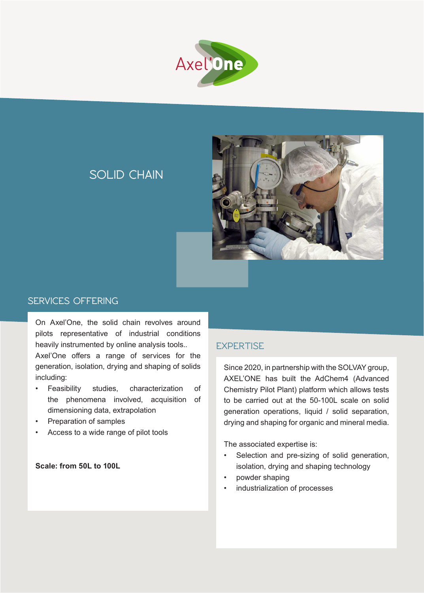



**SOLID CHAIN**

## **SERVICES OFFERING**

On Axel'One, the solid chain revolves around pilots representative of industrial conditions heavily instrumented by online analysis tools..

Axel'One offers a range of services for the generation, isolation, drying and shaping of solids including:

- Feasibility studies, characterization of the phenomena involved, acquisition of dimensioning data, extrapolation
- Preparation of samples
- Access to a wide range of pilot tools

**Scale: from 50L to 100L**

# **EXPERTISE**

Since 2020, in partnership with the SOLVAY group, AXEL'ONE has built the AdChem4 (Advanced Chemistry Pilot Plant) platform which allows tests to be carried out at the 50-100L scale on solid generation operations, liquid / solid separation, drying and shaping for organic and mineral media.

The associated expertise is:

- Selection and pre-sizing of solid generation, isolation, drying and shaping technology
- powder shaping
- industrialization of processes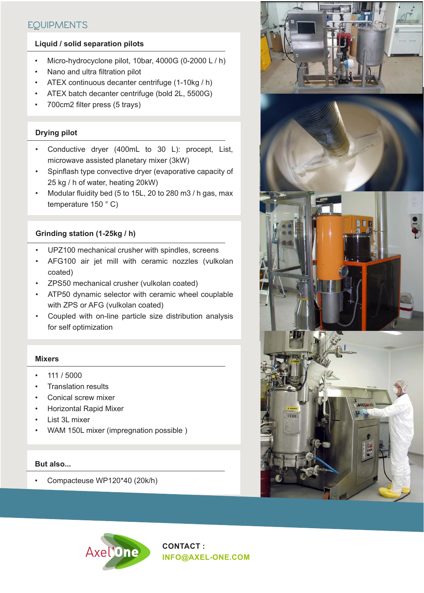# **EQUIPMENTS**

## **Liquid / solid separation pilots**

- Micro-hydrocyclone pilot, 10bar, 4000G (0-2000 L / h)
- Nano and ultra filtration pilot
- ATEX continuous decanter centrifuge (1-10kg / h)
- ATEX batch decanter centrifuge (bold 2L, 5500G)
- 700cm2 filter press (5 trays)

#### **Drying pilot**

- Conductive dryer (400mL to 30 L): procept, List, microwave assisted planetary mixer (3kW)
- Spinflash type convective dryer (evaporative capacity of 25 kg / h of water, heating 20kW)
- Modular fluidity bed (5 to 15L, 20 to 280 m3 / h gas, max temperature 150 ° C)

## **Grinding station (1-25kg / h)**

- UPZ100 mechanical crusher with spindles, screens
- AFG100 air jet mill with ceramic nozzles (vulkolan coated)
- ZPS50 mechanical crusher (vulkolan coated)
- ATP50 dynamic selector with ceramic wheel couplable with ZPS or AFG (vulkolan coated)
- Coupled with on-line particle size distribution analysis for self optimization

#### **Mixers**

- 111 / 5000
- Translation results
- Conical screw mixer
- Horizontal Rapid Mixer
- List 3L mixer
- WAM 150L mixer (impregnation possible )

#### **But also...**

• Compacteuse WP120\*40 (20k/h)





**CONTACT : INFO@AXEL-ONE.COM**